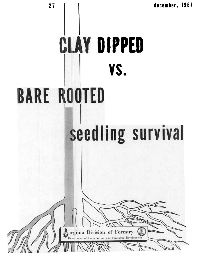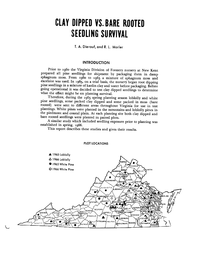# **CLAY DIPPED VS. BARE ROOTED SEEDLING SURVIVAL**

**T. A. Dierauf, and R. L. Marler** 

# **INTRODUCTION**

Prior to 1960 the Virginia Division of Forestry nursery at New Kent prepared all pine seedlings for shipment by packaging them in damp sphagnum moss. From 1960 to 1965 a mixture of sphagnum moss and excelsior was used. In 1965, on a trial basis, the nursery began root dipping pine seedlings in a mixture of kaolin clay and water before packaging. Before going operational it was decided to test clay dipped seedlings to determine what the effect might be on planting survival.

Therefore, during the 1965 spring planting season loblolly and white pine seedlings, some packed clay dipped and some packed in moss (bare rooted) were sent to different areas throughout Virginia for use in test plantings. White pines were planted in the mountains and loblolly pines in the piedmont and coastal plain. At each planting site both clay dipped and bare rooted seedlings were planted in paired plots.

A similar study which included seedling exposure prior to planting was established in spring, 1966.

This report describes these studies and gives their results.



#### **PLOT LOCATIONS**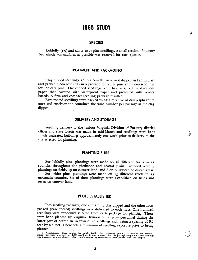# **1965 STUDY**

# **SPECIES**

Loblolly  $(1-0)$  and white  $(2-0)$  pine seedlings. A small section of nursery bed which was uniform aa possible was reserved for each species.

## **TREATMENT AND PACKAGING**

Clay dipped seedlings, 50 in a bundle, were root dipped in kaolin clay<sup>1</sup> and packed 1,000 seedlings in a package for white pine and 2,000 seedlings for loblolly pine. The dipped seedlings were first wrapped in absorbent paper, then covered with waterproof paper and protected with veneer boards. A firm and compact seedling package resulted.

Bare rooted seedlings were packed using a mixture of damp sphagnum moss and excelsior and conltained the same number per package as the clay dipped.

# **DEllVERY AND STORAGE**

Seedling delivery to the various Virginia Division of Forestry district offices and state forests was made in mid-March and seedlings were kept inside unheated buildings approximately one week prior to delivery to the site selected for planting.

#### **PLANTING SITES**

For loblolly pine, plantings were made on 26 different tracts in 22 counties throughout the piedmont and coastal plain. Included were 5 plantings on fields, 13 on cutover land, and 8 on bulldozed or disced areas.

For white pine, plantings were made on **13** different tracts in **13**  mountain counties. Six of these plantings were established on fields and seven on cutover land.

# **PILOTS ESTABLISHED**

Two seedling packages, one containing clay dipped and the other moss packed (bare rooted) seedlings were delivered to each tract. One hundred seedlings were randomly sdlected from each package for planting. These were hand planted by Virginia Division of Forestry personnel during the latter part of March in 10 rows of 10 seedlings each using a spacing of 6.6 feet by 6.6 feet. There was a minimum of seedling exposure prior to being planted.

**<sup>1.</sup> Approximately three ponads mixed with water was used per 1,000 was increased by approximately nine**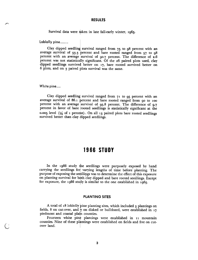# **RESULTS**

Survival data were taken in late fall-early winter, 1965.

Loblolly pine........

Clay dipped seedling survival ranged from 75 to 98 percent with an average survival of 93.3 percent and bare rooted ranged from 57 to 98 percent with an average survival of 90.7 percent. The difference of 2.6 percent was not statistically significant. Of the 26 paired plots used, clay dipped seedlings survived better on 17, bare rooted survived better on 6 plots, and on 3 paired blots survival was the same.

#### **White pine** ....

Clay dipped seedling survival ranged from  $71$  to 95 percent with an average survival of 86.1 percent and bare rooted ranged from 90 to 100 percent with an average survival of  $95.8$  percent. The difference of  $9.7$ percent in favor of bare rooted seedlings is statistically significant at the 0.005 level  $(1/2)$  of 1 percent). On all 13 paired plots bare rooted seedlings survived better than clay dipped seedlings.

# **1966 STUDY**

In the 1966 study the seedlings were purposely exposed by hand carrying the seedlings for varying lengths of time before planting. The purpose of exposing the seedlings was to determine the effect of this exposure on planting survival for both clay dipped and bare rooted seedlings. Except for exposure, the 1966 study is similar to the one established in 1965.

## **PLANTING SITES**

A total of 18 loblolly pine planting sites, which included 3 plantings on fields, 8 on cut-over, and  $\gamma$  on disked or bulldozed, were established in 17 piedmont and coastal pla'n counties.

Fourteen white pine plantings were established in 11 mountain counties. Nine of these plantings were established on fields and five on cut-<br>ver land.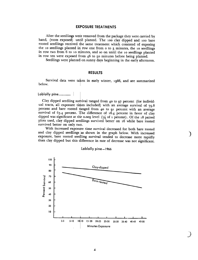#### **EXPOSURE TREATMENTS**

After the seedlings were removed from the package they were carried by hand, (roots exposed) until planted. The 100 clay dipped and 100 bare rooted seedlings received he same treatment which consisted of exposing the 10 seedlings planted in row one from 0 to 5 minutes, the 10 seedlings in row two from 6 to 10 minutes, and so on until the 10 seedlings planted in row ten were exposed from 46 to 50 minutes before being planted.

Seedlings were planted on sunny days beginning in the early afternoon.

# **RESULTS**

Survival data were taken in early winter, 1966, and are summarized below.

**Loblolly pine............** |

Clay dipped seedling survival ranged from 40 to 97 percent (for individal tracts, all exposure times included) with an average survival of  $70.8$ percent and bare rooted ranged from 40 to 91 percent with an average survival of 63.4 percent and bare included) with an average survival of 79.8 percent and bare rooted ranged from 40 to 97 percent with an average urvival of 63.4 percent. The difference of 16.4 percent in favor of clay li survival of 63.4 percent. The difference of 16.4 percent in favor of clay dipped was significant at the 0.005 level  $(1/2)$  of 1 percent). Of the 18 paired plots used, clay dipped seedlings survived better on 16 while bare rooted survived better on only twp.

With increased exposure time survival decreased for both bare rooted and clay dipped as shown in the graph below. With increased exposure, bare rooted seedling survival tended to decrease more rapidly than clay dipped but this difference in rate of decrease was not significant.



#### Loblolly pine-1966